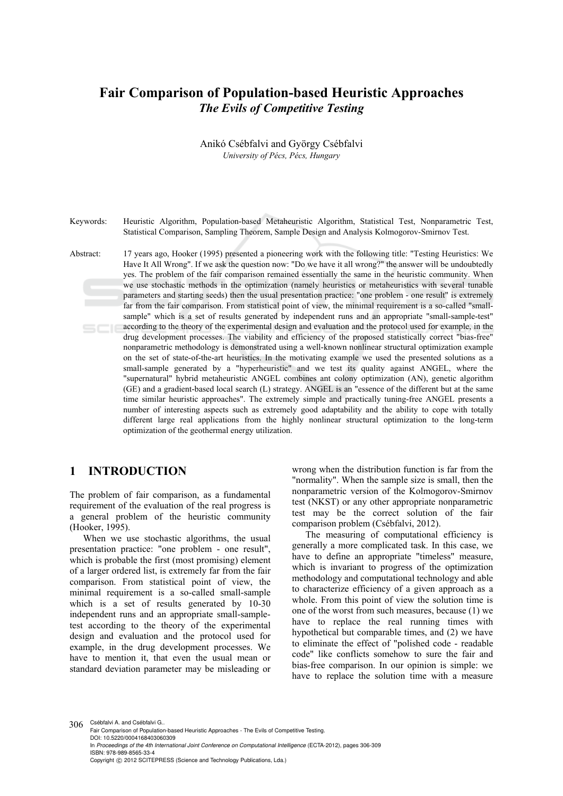# **Fair Comparison of Population-based Heuristic Approaches**  *The Evils of Competitive Testing*

Anikó Csébfalvi and György Csébfalvi *University of Pécs, Pécs, Hungary* 

Keywords: Heuristic Algorithm, Population-based Metaheuristic Algorithm, Statistical Test, Nonparametric Test, Statistical Comparison, Sampling Theorem, Sample Design and Analysis Kolmogorov-Smirnov Test.

Abstract: 17 years ago, Hooker (1995) presented a pioneering work with the following title: "Testing Heuristics: We Have It All Wrong". If we ask the question now: "Do we have it all wrong?" the answer will be undoubtedly yes. The problem of the fair comparison remained essentially the same in the heuristic community. When we use stochastic methods in the optimization (namely heuristics or metaheuristics with several tunable parameters and starting seeds) then the usual presentation practice: "one problem - one result" is extremely far from the fair comparison. From statistical point of view, the minimal requirement is a so-called "smallsample" which is a set of results generated by independent runs and an appropriate "small-sample-test" according to the theory of the experimental design and evaluation and the protocol used for example, in the drug development processes. The viability and efficiency of the proposed statistically correct "bias-free" nonparametric methodology is demonstrated using a well-known nonlinear structural optimization example on the set of state-of-the-art heuristics. In the motivating example we used the presented solutions as a small-sample generated by a "hyperheuristic" and we test its quality against ANGEL, where the "supernatural" hybrid metaheuristic ANGEL combines ant colony optimization (AN), genetic algorithm (GE) and a gradient-based local search (L) strategy. ANGEL is an "essence of the different but at the same time similar heuristic approaches". The extremely simple and practically tuning-free ANGEL presents a number of interesting aspects such as extremely good adaptability and the ability to cope with totally different large real applications from the highly nonlinear structural optimization to the long-term optimization of the geothermal energy utilization.

# **1 INTRODUCTION**

The problem of fair comparison, as a fundamental requirement of the evaluation of the real progress is a general problem of the heuristic community (Hooker, 1995).

When we use stochastic algorithms, the usual presentation practice: "one problem - one result", which is probable the first (most promising) element of a larger ordered list, is extremely far from the fair comparison. From statistical point of view, the minimal requirement is a so-called small-sample which is a set of results generated by 10-30 independent runs and an appropriate small-sampletest according to the theory of the experimental design and evaluation and the protocol used for example, in the drug development processes. We have to mention it, that even the usual mean or standard deviation parameter may be misleading or

wrong when the distribution function is far from the "normality". When the sample size is small, then the nonparametric version of the Kolmogorov-Smirnov test (NKST) or any other appropriate nonparametric test may be the correct solution of the fair comparison problem (Csébfalvi, 2012).

The measuring of computational efficiency is generally a more complicated task. In this case, we have to define an appropriate "timeless" measure, which is invariant to progress of the optimization methodology and computational technology and able to characterize efficiency of a given approach as a whole. From this point of view the solution time is one of the worst from such measures, because (1) we have to replace the real running times with hypothetical but comparable times, and (2) we have to eliminate the effect of "polished code - readable code" like conflicts somehow to sure the fair and bias-free comparison. In our opinion is simple: we have to replace the solution time with a measure

306 Csébfalvi A. and Csébfalvi G.. Fair Comparison of Population-based Heuristic Approaches - The Evils of Competitive Testing. DOI: 10.5220/0004168403060309 In *Proceedings of the 4th International Joint Conference on Computational Intelligence* (ECTA-2012), pages 306-309 ISBN: 978-989-8565-33-4 Copyright © 2012 SCITEPRESS (Science and Technology Publications, Lda.)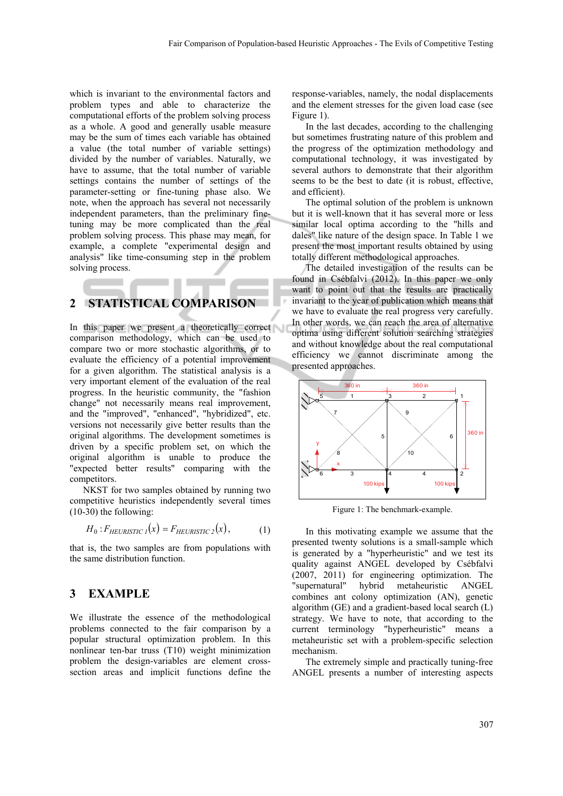which is invariant to the environmental factors and problem types and able to characterize the computational efforts of the problem solving process as a whole. A good and generally usable measure may be the sum of times each variable has obtained a value (the total number of variable settings) divided by the number of variables. Naturally, we have to assume, that the total number of variable settings contains the number of settings of the parameter-setting or fine-tuning phase also. We note, when the approach has several not necessarily independent parameters, than the preliminary finetuning may be more complicated than the real problem solving process. This phase may mean, for example, a complete "experimental design and analysis" like time-consuming step in the problem solving process.

### **2 STATISTICAL COMPARISON**

In this paper we present a theoretically correct comparison methodology, which can be used to compare two or more stochastic algorithms, or to evaluate the efficiency of a potential improvement for a given algorithm. The statistical analysis is a very important element of the evaluation of the real progress. In the heuristic community, the "fashion change" not necessarily means real improvement, and the "improved", "enhanced", "hybridized", etc. versions not necessarily give better results than the original algorithms. The development sometimes is driven by a specific problem set, on which the original algorithm is unable to produce the "expected better results" comparing with the competitors.

NKST for two samples obtained by running two competitive heuristics independently several times (10-30) the following:

$$
H_0: F_{HEURISTIC\ I}(x) = F_{HEURISTIC\ 2}(x),\tag{1}
$$

that is, the two samples are from populations with the same distribution function.

#### **3 EXAMPLE**

We illustrate the essence of the methodological problems connected to the fair comparison by a popular structural optimization problem. In this nonlinear ten-bar truss (T10) weight minimization problem the design-variables are element crosssection areas and implicit functions define the response-variables, namely, the nodal displacements and the element stresses for the given load case (see Figure 1).

In the last decades, according to the challenging but sometimes frustrating nature of this problem and the progress of the optimization methodology and computational technology, it was investigated by several authors to demonstrate that their algorithm seems to be the best to date (it is robust, effective, and efficient).

The optimal solution of the problem is unknown but it is well-known that it has several more or less similar local optima according to the "hills and dales" like nature of the design space. In Table 1 we present the most important results obtained by using totally different methodological approaches.

The detailed investigation of the results can be found in Csébfalvi (2012). In this paper we only want to point out that the results are practically invariant to the year of publication which means that we have to evaluate the real progress very carefully. In other words, we can reach the area of alternative optima using different solution searching strategies and without knowledge about the real computational efficiency we cannot discriminate among the presented approaches.



Figure 1: The benchmark-example.

In this motivating example we assume that the presented twenty solutions is a small-sample which is generated by a "hyperheuristic" and we test its quality against ANGEL developed by Csébfalvi (2007, 2011) for engineering optimization. The "supernatural" hybrid metaheuristic ANGEL combines ant colony optimization (AN), genetic algorithm (GE) and a gradient-based local search (L) strategy. We have to note, that according to the current terminology "hyperheuristic" means a metaheuristic set with a problem-specific selection mechanism.

The extremely simple and practically tuning-free ANGEL presents a number of interesting aspects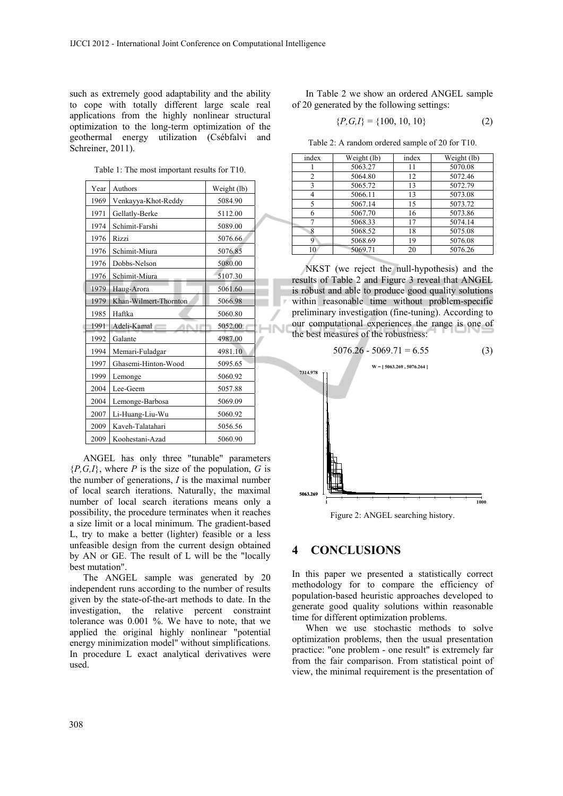such as extremely good adaptability and the ability to cope with totally different large scale real applications from the highly nonlinear structural optimization to the long-term optimization of the geothermal energy utilization (Csébfalvi and Schreiner, 2011).

Table 1: The most important results for T10.

| Year | Authors               | Weight (lb) |
|------|-----------------------|-------------|
| 1969 | Venkayya-Khot-Reddy   | 5084.90     |
| 1971 | Gellatly-Berke        | 5112.00     |
| 1974 | Schimit-Farshi        | 5089.00     |
| 1976 | Rizzi                 | 5076.66     |
| 1976 | Schimit-Miura         | 5076.85     |
| 1976 | Dobbs-Nelson          | 5080.00     |
| 1976 | Schimit-Miura         | 5107.30     |
| 1979 | Haug-Arora            | 5061.60     |
| 1979 | Khan-Wilmert-Thornton | 5066.98     |
| 1985 | Haftka                | 5060.80     |
| 1991 | Adeli-Kamal           | 5052.00     |
| 1992 | Galante               | 4987.00     |
| 1994 | Memari-Fuladgar       | 4981.10     |
| 1997 | Ghasemi-Hinton-Wood   | 5095.65     |
| 1999 | Lemonge               | 5060.92     |
| 2004 | Lee-Geem              | 5057.88     |
| 2004 | Lemonge-Barbosa       | 5069.09     |
| 2007 | Li-Huang-Liu-Wu       | 5060.92     |
| 2009 | Kaveh-Talatahari      | 5056.56     |
| 2009 | Koohestani-Azad       | 5060.90     |
|      |                       |             |

ANGEL has only three "tunable" parameters  ${P,G,I}$ , where *P* is the size of the population, *G* is the number of generations, *I* is the maximal number of local search iterations. Naturally, the maximal number of local search iterations means only a possibility, the procedure terminates when it reaches a size limit or a local minimum. The gradient-based L, try to make a better (lighter) feasible or a less unfeasible design from the current design obtained by AN or GE. The result of L will be the "locally best mutation".

The ANGEL sample was generated by 20 independent runs according to the number of results given by the state-of-the-art methods to date. In the investigation, the relative percent constraint tolerance was 0.001 %. We have to note, that we applied the original highly nonlinear "potential energy minimization model" without simplifications. In procedure L exact analytical derivatives were used.

In Table 2 we show an ordered ANGEL sample of 20 generated by the following settings:

$$
\{P,G,I\} = \{100, 10, 10\} \tag{2}
$$

Table 2: A random ordered sample of 20 for T10.

| index | Weight (lb) | index | Weight (lb) |
|-------|-------------|-------|-------------|
|       | 5063.27     | 11    | 5070.08     |
| 2     | 5064.80     | 12    | 5072.46     |
| 3     | 5065.72     | 13    | 5072.79     |
|       | 5066.11     | 13    | 5073.08     |
| 5     | 5067.14     | 15    | 5073.72     |
| 6     | 5067.70     | 16    | 5073.86     |
|       | 5068.33     | 17    | 5074.14     |
| 8     | 5068.52     | 18    | 5075.08     |
| 9     | 5068.69     | 19    | 5076.08     |
| 10    | 5069.71     | 20    | 5076.26     |
|       |             |       |             |

NKST (we reject the null-hypothesis) and the results of Table 2 and Figure 3 reveal that ANGEL is robust and able to produce good quality solutions within reasonable time without problem-specific preliminary investigation (fine-tuning). According to our computational experiences the range is one of the best measures of the robustness:



Figure 2: ANGEL searching history.

### **4 CONCLUSIONS**

In this paper we presented a statistically correct methodology for to compare the efficiency of population-based heuristic approaches developed to generate good quality solutions within reasonable time for different optimization problems.

When we use stochastic methods to solve optimization problems, then the usual presentation practice: "one problem - one result" is extremely far from the fair comparison. From statistical point of view, the minimal requirement is the presentation of